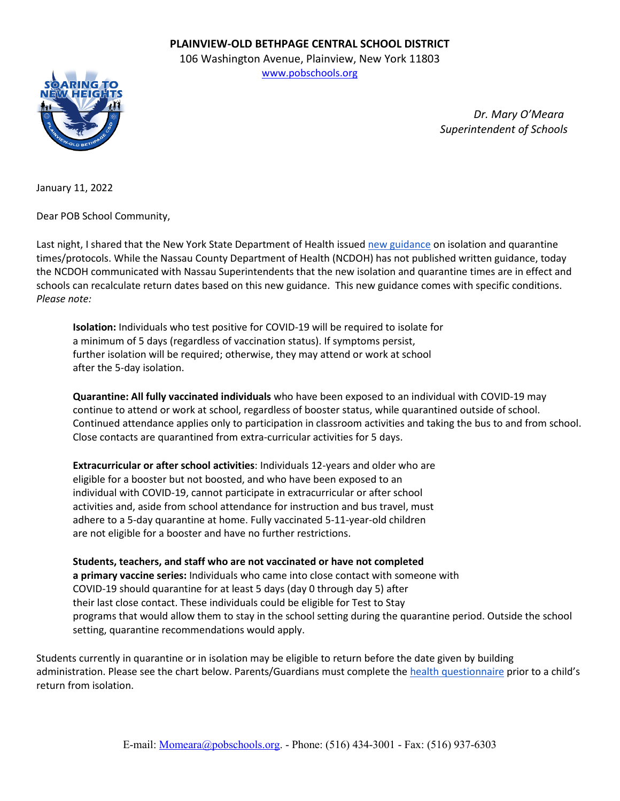## **PLAINVIEW-OLD BETHPAGE CENTRAL SCHOOL DISTRICT**

106 Washington Avenue, Plainview, New York 11803 [www.pobschools.org](http://www.pobschools.org/)



 *Dr. Mary O'Meara Superintendent of Schools*

January 11, 2022

Dear POB School Community,

Last night, I shared that the New York State Department of Health issue[d new guidance](https://drive.google.com/file/d/1k4fFiM6SAJW-xpJ6HSZeJYoPN8ieNQvS/view?usp=sharing) on isolation and quarantine times/protocols. While the Nassau County Department of Health (NCDOH) has not published written guidance, today the NCDOH communicated with Nassau Superintendents that the new isolation and quarantine times are in effect and schools can recalculate return dates based on this new guidance. This new guidance comes with specific conditions. *Please note:*

**Isolation:** Individuals who test positive for COVID-19 will be required to isolate for a minimum of 5 days (regardless of vaccination status). If symptoms persist, further isolation will be required; otherwise, they may attend or work at school after the 5-day isolation.

**Quarantine: All fully vaccinated individuals** who have been exposed to an individual with COVID-19 may continue to attend or work at school, regardless of booster status, while quarantined outside of school. Continued attendance applies only to participation in classroom activities and taking the bus to and from school. Close contacts are quarantined from extra-curricular activities for 5 days.

**Extracurricular or after school activities**: Individuals 12-years and older who are eligible for a booster but not boosted, and who have been exposed to an individual with COVID-19, cannot participate in extracurricular or after school activities and, aside from school attendance for instruction and bus travel, must adhere to a 5-day quarantine at home. Fully vaccinated 5-11-year-old children are not eligible for a booster and have no further restrictions.

**Students, teachers, and staff who are not vaccinated or have not completed a primary vaccine series:** Individuals who came into close contact with someone with COVID-19 should quarantine for at least 5 days (day 0 through day 5) after their last close contact. These individuals could be eligible for Test to Stay programs that would allow them to stay in the school setting during the quarantine period. Outside the school setting, quarantine recommendations would apply.

Students currently in quarantine or in isolation may be eligible to return before the date given by building administration. Please see the chart below. Parents/Guardians must complete the [health questionnaire](https://www.pobschools.org/Page/8335) prior to a child's return from isolation.